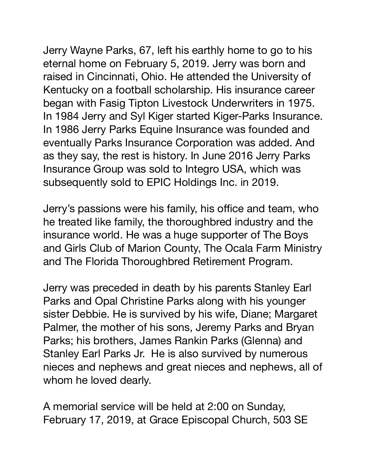Jerry Wayne Parks, 67, left his earthly home to go to his eternal home on February 5, 2019. Jerry was born and raised in Cincinnati, Ohio. He attended the University of Kentucky on a football scholarship. His insurance career began with Fasig Tipton Livestock Underwriters in 1975. In 1984 Jerry and Syl Kiger started Kiger-Parks Insurance. In 1986 Jerry Parks Equine Insurance was founded and eventually Parks Insurance Corporation was added. And as they say, the rest is history. In June 2016 Jerry Parks Insurance Group was sold to Integro USA, which was subsequently sold to EPIC Holdings Inc. in 2019.

Jerry's passions were his family, his office and team, who he treated like family, the thoroughbred industry and the insurance world. He was a huge supporter of The Boys and Girls Club of Marion County, The Ocala Farm Ministry and The Florida Thoroughbred Retirement Program.

Jerry was preceded in death by his parents Stanley Earl Parks and Opal Christine Parks along with his younger sister Debbie. He is survived by his wife, Diane; Margaret Palmer, the mother of his sons, Jeremy Parks and Bryan Parks; his brothers, James Rankin Parks (Glenna) and Stanley Earl Parks Jr. He is also survived by numerous nieces and nephews and great nieces and nephews, all of whom he loved dearly.

A memorial service will be held at 2:00 on Sunday, February 17, 2019, at Grace Episcopal Church, 503 SE